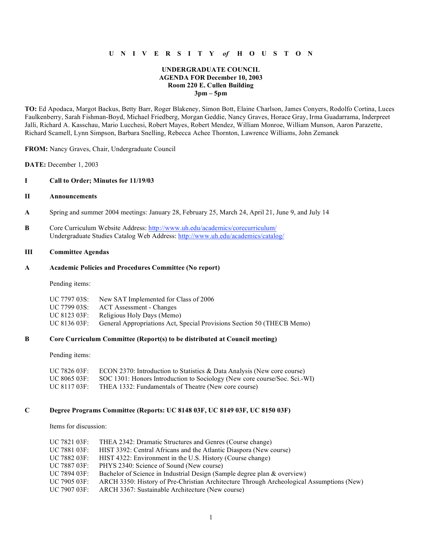# **U N I V E R S I T Y** *of* **H O U S T O N**

# **UNDERGRADUATE COUNCIL AGENDA FOR December 10, 2003 Room 220 E. Cullen Building 3pm – 5pm**

**TO:** Ed Apodaca, Margot Backus, Betty Barr, Roger Blakeney, Simon Bott, Elaine Charlson, James Conyers, Rodolfo Cortina, Luces Faulkenberry, Sarah Fishman-Boyd, Michael Friedberg, Morgan Geddie, Nancy Graves, Horace Gray, Irma Guadarrama, Inderpreet Jalli, Richard A. Kasschau, Mario Lucchesi, Robert Mayes, Robert Mendez, William Monroe, William Munson, Aaron Parazette, Richard Scamell, Lynn Simpson, Barbara Snelling, Rebecca Achee Thornton, Lawrence Williams, John Zemanek

**FROM:** Nancy Graves, Chair, Undergraduate Council

**DATE:** December 1, 2003

### **I Call to Order; Minutes for 11/19/03**

# **II Announcements**

- **A** Spring and summer 2004 meetings: January 28, February 25, March 24, April 21, June 9, and July 14
- **B** Core Curriculum Website Address: http://www.uh.edu/academics/corecurriculum/ Undergraduate Studies Catalog Web Address: http://www.uh.edu/academics/catalog/

# **III Committee Agendas**

#### **A Academic Policies and Procedures Committee (No report)**

Pending items:

| UC 7797 03S: | New SAT Implemented for Class of 2006                                  |
|--------------|------------------------------------------------------------------------|
| UC 7799 03S: | ACT Assessment - Changes                                               |
| UC 8123 03F: | Religious Holy Days (Memo)                                             |
| UC 8136 03F: | General Appropriations Act, Special Provisions Section 50 (THECB Memo) |

# **B Core Curriculum Committee (Report(s) to be distributed at Council meeting)**

Pending items:

| UC 7826 03F: . | ECON 2370: Introduction to Statistics & Data Analysis (New core course)   |
|----------------|---------------------------------------------------------------------------|
| UC 8065 03F: . | SOC 1301: Honors Introduction to Sociology (New core course/Soc. Sci.-WI) |
| UC 8117 03F: - | THEA 1332: Fundamentals of Theatre (New core course)                      |

### **C Degree Programs Committee (Reports: UC 8148 03F, UC 8149 03F, UC 8150 03F)**

Items for discussion:

| UC 7821 03F:   | THEA 2342: Dramatic Structures and Genres (Course change)                                |
|----------------|------------------------------------------------------------------------------------------|
| UC 7881 03F: . | HIST 3392: Central Africans and the Atlantic Diaspora (New course)                       |
| UC 7882 03F:   | HIST 4322: Environment in the U.S. History (Course change)                               |
| UC 7887 03F: . | PHYS 2340: Science of Sound (New course)                                                 |
| UC 7894 03F:   | Bachelor of Science in Industrial Design (Sample degree plan & overview)                 |
| UC 7905 03F:   | ARCH 3350: History of Pre-Christian Architecture Through Archeological Assumptions (New) |
| UC 7907 03F:   | ARCH 3367: Sustainable Architecture (New course)                                         |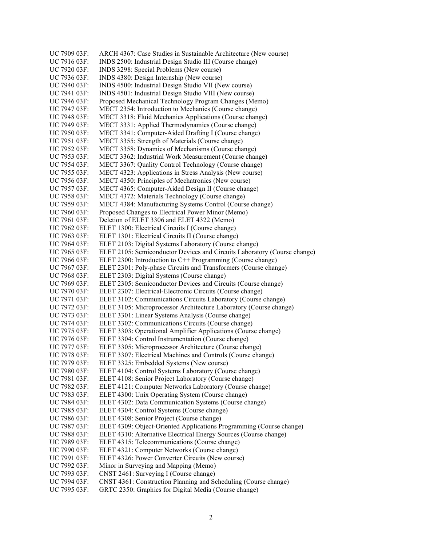UC 7909 03F: ARCH 4367: Case Studies in Sustainable Architecture (New course) UC 7916 03F: INDS 2500: Industrial Design Studio III (Course change) UC 7920 03F: INDS 3298: Special Problems (New course) UC 7936 03F: INDS 4380: Design Internship (New course) UC 7940 03F: INDS 4500: Industrial Design Studio VII (New course) UC 7941 03F: INDS 4501: Industrial Design Studio VIII (New course) UC 7946 03F: Proposed Mechanical Technology Program Changes (Memo) UC 7947 03F: MECT 2354: Introduction to Mechanics (Course change) UC 7948 03F: MECT 3318: Fluid Mechanics Applications (Course change) UC 7949 03F: MECT 3331: Applied Thermodynamics (Course change) UC 7950 03F: MECT 3341: Computer-Aided Drafting I (Course change) UC 7951 03F: MECT 3355: Strength of Materials (Course change) UC 7952 03F: MECT 3358: Dynamics of Mechanisms (Course change) UC 7953 03F: MECT 3362: Industrial Work Measurement (Course change) UC 7954 03F: MECT 3367: Quality Control Technology (Course change) UC 7955 03F: MECT 4323: Applications in Stress Analysis (New course) UC 7956 03F: MECT 4350: Principles of Mechatronics (New course) UC 7957 03F: MECT 4365: Computer-Aided Design II (Course change) UC 7958 03F: MECT 4372: Materials Technology (Course change) UC 7959 03F: MECT 4384: Manufacturing Systems Control (Course change) UC 7960 03F: Proposed Changes to Electrical Power Minor (Memo) UC 7961 03F: Deletion of ELET 3306 and ELET 4322 (Memo) UC 7962 03F: ELET 1300: Electrical Circuits I (Course change) UC 7963 03F: ELET 1301: Electrical Circuits II (Course change) UC 7964 03F: ELET 2103: Digital Systems Laboratory (Course change) UC 7965 03F: ELET 2105: Semiconductor Devices and Circuits Laboratory (Course change) UC 7966 03F: ELET 2300: Introduction to C<sup>++</sup> Programming (Course change) UC 7967 03F: ELET 2301: Poly-phase Circuits and Transformers (Course change) UC 7968 03F: ELET 2303: Digital Systems (Course change) UC 7969 03F: ELET 2305: Semiconductor Devices and Circuits (Course change) UC 7970 03F: ELET 2307: Electrical-Electronic Circuits (Course change) UC 7971 03F: ELET 3102: Communications Circuits Laboratory (Course change) UC 7972 03F: ELET 3105: Microprocessor Architecture Laboratory (Course change) UC 7973 03F: ELET 3301: Linear Systems Analysis (Course change) UC 7974 03F: ELET 3302: Communications Circuits (Course change) UC 7975 03F: ELET 3303: Operational Amplifier Applications (Course change) UC 7976 03F: ELET 3304: Control Instrumentation (Course change) UC 7977 03F: ELET 3305: Microprocessor Architecture (Course change) UC 7978 03F: ELET 3307: Electrical Machines and Controls (Course change) UC 7979 03F: ELET 3325: Embedded Systems (New course) UC 7980 03F: ELET 4104: Control Systems Laboratory (Course change) UC 7981 03F: ELET 4108: Senior Project Laboratory (Course change) UC 7982 03F: ELET 4121: Computer Networks Laboratory (Course change) UC 7983 03F: ELET 4300: Unix Operating System (Course change) UC 7984 03F: ELET 4302: Data Communication Systems (Course change) UC 7985 03F: ELET 4304: Control Systems (Course change) UC 7986 03F: ELET 4308: Senior Project (Course change) UC 7987 03F: ELET 4309: Object-Oriented Applications Programming (Course change) UC 7988 03F: ELET 4310: Alternative Electrical Energy Sources (Course change) UC 7989 03F: ELET 4315: Telecommunications (Course change) UC 7990 03F: ELET 4321: Computer Networks (Course change) UC 7991 03F: ELET 4326: Power Converter Circuits (New course) UC 7992 03F: Minor in Surveying and Mapping (Memo) UC 7993 03F: CNST 2461: Surveying I (Course change) UC 7994 03F: CNST 4361: Construction Planning and Scheduling (Course change) UC 7995 03F: GRTC 2350: Graphics for Digital Media (Course change)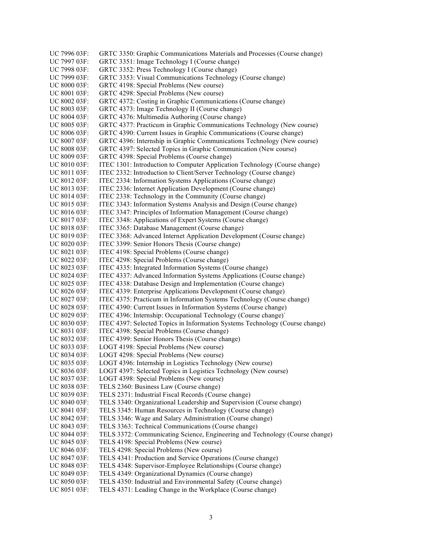UC 7996 03F: GRTC 3350: Graphic Communications Materials and Processes (Course change) UC 7997 03F: GRTC 3351: Image Technology I (Course change) UC 7998 03F: GRTC 3352: Press Technology I (Course change) UC 7999 03F: GRTC 3353: Visual Communications Technology (Course change) UC 8000 03F: GRTC 4198: Special Problems (New course) UC 8001 03F: GRTC 4298: Special Problems (New course) UC 8002 03F: GRTC 4372: Costing in Graphic Communications (Course change) UC 8003 03F: GRTC 4373: Image Technology II (Course change) UC 8004 03F: GRTC 4376: Multimedia Authoring (Course change) UC 8005 03F: GRTC 4377: Practicum in Graphic Communications Technology (New course) UC 8006 03F: GRTC 4390: Current Issues in Graphic Communications (Course change) UC 8007 03F: GRTC 4396: Internship in Graphic Communications Technology (New course) UC 8008 03F: GRTC 4397: Selected Topics in Graphic Communication (New course) UC 8009 03F: GRTC 4398: Special Problems (Course change) UC 8010 03F: ITEC 1301: Introduction to Computer Application Technology (Course change) UC 8011 03F: ITEC 2332: Introduction to Client/Server Technology (Course change) UC 8012 03F: ITEC 2334: Information Systems Applications (Course change) UC 8013 03F: ITEC 2336: Internet Application Development (Course change) UC 8014 03F: ITEC 2338: Technology in the Community (Course change) UC 8015 03F: ITEC 3343: Information Systems Analysis and Design (Course change) UC 8016 03F: ITEC 3347: Principles of Information Management (Course change) UC 8017 03F: ITEC 3348: Applications of Expert Systems (Course change) UC 8018 03F: ITEC 3365: Database Management (Course change) UC 8019 03F: ITEC 3368: Advanced Internet Application Development (Course change) UC 8020 03F: ITEC 3399: Senior Honors Thesis (Course change) UC 8021 03F: ITEC 4198: Special Problems (Course change) UC 8022 03F: ITEC 4298: Special Problems (Course change) UC 8023 03F: ITEC 4335: Integrated Information Systems (Course change) UC 8024 03F: ITEC 4337: Advanced Information Systems Applications (Course change) UC 8025 03F: ITEC 4338: Database Design and Implementation (Course change) UC 8026 03F: ITEC 4339: Enterprise Applications Development (Course change) UC 8027 03F: ITEC 4375: Practicum in Information Systems Technology (Course change) UC 8028 03F: ITEC 4390: Current Issues in Information Systems (Course change) UC 8029 03F: ITEC 4396: Internship: Occupational Technology (Course change) UC 8030 03F: ITEC 4397: Selected Topics in Information Systems Technology (Course change) UC 8031 03F: ITEC 4398: Special Problems (Course change) UC 8032 03F: ITEC 4399: Senior Honors Thesis (Course change) UC 8033 03F: LOGT 4198: Special Problems (New course) UC 8034 03F: LOGT 4298: Special Problems (New course) UC 8035 03F: LOGT 4396: Internship in Logistics Technology (New course) UC 8036 03F: LOGT 4397: Selected Topics in Logistics Technology (New course) UC 8037 03F: LOGT 4398: Special Problems (New course) UC 8038 03F: TELS 2360: Business Law (Course change) UC 8039 03F: TELS 2371: Industrial Fiscal Records (Course change) UC 8040 03F: TELS 3340: Organizational Leadership and Supervision (Course change) UC 8041 03F: TELS 3345: Human Resources in Technology (Course change) UC 8042 03F: TELS 3346: Wage and Salary Administration (Course change) UC 8043 03F: TELS 3363: Technical Communications (Course change) UC 8044 03F: TELS 3372: Communicating Science, Engineering and Technology (Course change) UC 8045 03F: TELS 4198: Special Problems (New course) UC 8046 03F: TELS 4298: Special Problems (New course) UC 8047 03F: TELS 4341: Production and Service Operations (Course change) UC 8048 03F: TELS 4348: Supervisor-Employee Relationships (Course change) UC 8049 03F: TELS 4349: Organizational Dynamics (Course change) UC 8050 03F: TELS 4350: Industrial and Environmental Safety (Course change) UC 8051 03F: TELS 4371: Leading Change in the Workplace (Course change)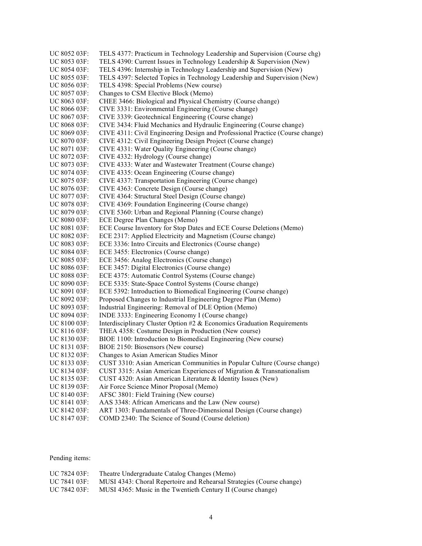UC 8052 03F: TELS 4377: Practicum in Technology Leadership and Supervision (Course chg) UC 8053 03F: TELS 4390: Current Issues in Technology Leadership & Supervision (New) UC 8054 03F: TELS 4396: Internship in Technology Leadership and Supervision (New) UC 8055 03F: TELS 4397: Selected Topics in Technology Leadership and Supervision (New) UC 8056 03F: TELS 4398: Special Problems (New course) UC 8057 03F: Changes to CSM Elective Block (Memo) UC 8063 03F: CHEE 3466: Biological and Physical Chemistry (Course change) UC 8066 03F: CIVE 3331: Environmental Engineering (Course change) UC 8067 03F: CIVE 3339: Geotechnical Engineering (Course change) UC 8068 03F: CIVE 3434: Fluid Mechanics and Hydraulic Engineering (Course change) UC 8069 03F: CIVE 4311: Civil Engineering Design and Professional Practice (Course change) UC 8070 03F: CIVE 4312: Civil Engineering Design Project (Course change) UC 8071 03F: CIVE 4331: Water Quality Engineering (Course change) UC 8072 03F: CIVE 4332: Hydrology (Course change)<br>UC 8073 03F: CIVE 4333: Water and Wastewater Treat CIVE 4333: Water and Wastewater Treatment (Course change) UC 8074 03F: CIVE 4335: Ocean Engineering (Course change) UC 8075 03F: CIVE 4337: Transportation Engineering (Course change) UC 8076 03F: CIVE 4363: Concrete Design (Course change) UC 8077 03F: CIVE 4364: Structural Steel Design (Course change) UC 8078 03F: CIVE 4369: Foundation Engineering (Course change) UC 8079 03F: CIVE 5360: Urban and Regional Planning (Course change) UC 8080 03F: ECE Degree Plan Changes (Memo) UC 8081 03F: ECE Course Inventory for Stop Dates and ECE Course Deletions (Memo) UC 8082 03F: ECE 2317: Applied Electricity and Magnetism (Course change) UC 8083 03F: ECE 3336: Intro Circuits and Electronics (Course change) UC 8084 03F: ECE 3455: Electronics (Course change) UC 8085 03F: ECE 3456: Analog Electronics (Course change) UC 8086 03F: ECE 3457: Digital Electronics (Course change) UC 8088 03F: ECE 4375: Automatic Control Systems (Course change) UC 8090 03F: ECE 5335: State-Space Control Systems (Course change) UC 8091 03F: ECE 5392: Introduction to Biomedical Engineering (Course change) UC 8092 03F: Proposed Changes to Industrial Engineering Degree Plan (Memo) UC 8093 03F: Industrial Engineering: Removal of DLE Option (Memo) UC 8094 03F: INDE 3333: Engineering Economy I (Course change) UC 8100 03F: Interdisciplinary Cluster Option #2 & Economics Graduation Requirements UC 8116 03F: THEA 4358: Costume Design in Production (New course) UC 8130 03F: BIOE 1100: Introduction to Biomedical Engineering (New course) UC 8131 03F: BIOE 2150: Biosensors (New course) UC 8132 03F: Changes to Asian American Studies Minor UC 8133 03F: CUST 3310: Asian American Communities in Popular Culture (Course change) UC 8134 03F: CUST 3315: Asian American Experiences of Migration & Transnationalism UC 8135 03F: CUST 4320: Asian American Literature & Identity Issues (New) UC 8139 03F: Air Force Science Minor Proposal (Memo) UC 8140 03F: AFSC 3801: Field Training (New course) UC 8141 03F: AAS 3348: African Americans and the Law (New course) UC 8142 03F: ART 1303: Fundamentals of Three-Dimensional Design (Course change) UC 8147 03F: COMD 2340: The Science of Sound (Course deletion)

Pending items:

| UC 7824 03F: | Theatre Undergraduate Catalog Changes (Memo)                          |
|--------------|-----------------------------------------------------------------------|
| UC 7841 03F: | MUSI 4343: Choral Repertoire and Rehearsal Strategies (Course change) |
| UC 7842 03F: | MUSI 4365: Music in the Twentieth Century II (Course change)          |